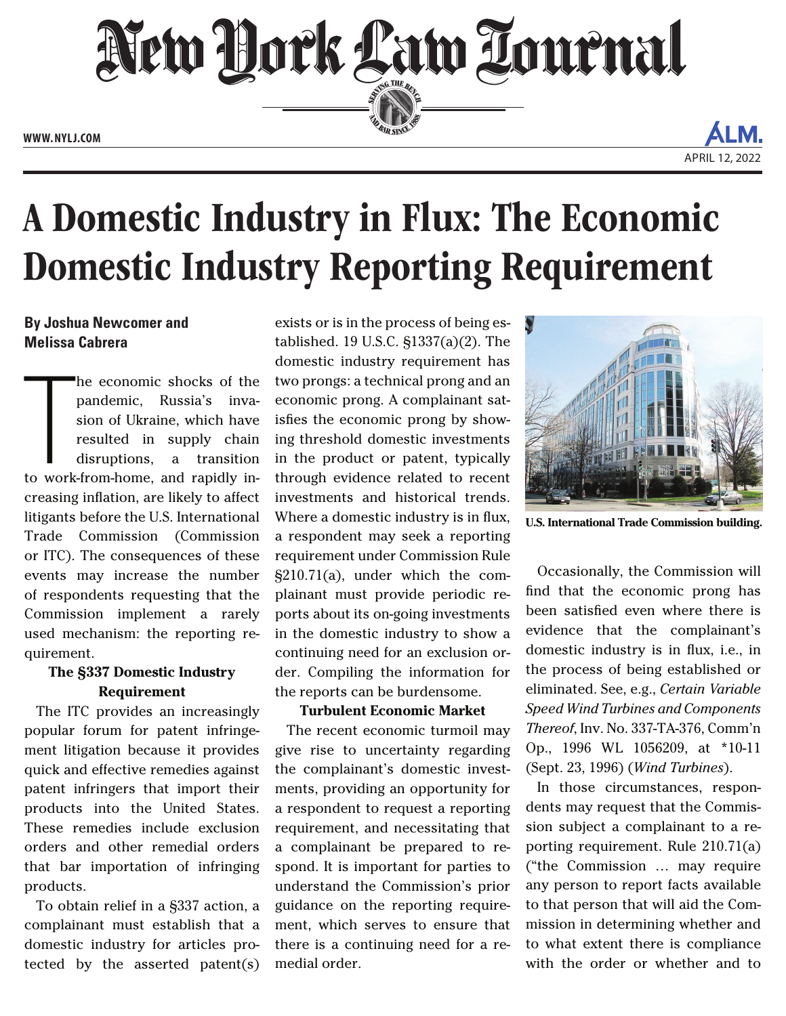

# A Domestic Industry in Flux: The Economic Domestic Industry Reporting Requirement

## **By Joshua Newcomer and Melissa Cabrera**

The economic shocks of the<br>pandemic, Russia's inva-<br>sion of Ukraine, which have<br>resulted in supply chain<br>disruptions, a transition<br>to work-from-home, and rapidly inhe economic shocks of the pandemic, Russia's invasion of Ukraine, which have resulted in supply chain disruptions, a transition creasing inflation, are likely to affect litigants before the U.S. International Trade Commission (Commission or ITC). The consequences of these events may increase the number of respondents requesting that the Commission implement a rarely used mechanism: the reporting requirement.

### **The §337 Domestic Industry Requirement**

The ITC provides an increasingly popular forum for patent infringement litigation because it provides quick and effective remedies against patent infringers that import their products into the United States. These remedies include exclusion orders and other remedial orders that bar importation of infringing products.

To obtain relief in a §337 action, a complainant must establish that a domestic industry for articles protected by the asserted patent(s) exists or is in the process of being established. 19 U.S.C. §1337(a)(2). The domestic industry requirement has two prongs: a technical prong and an economic prong. A complainant satisfies the economic prong by showing threshold domestic investments in the product or patent, typically through evidence related to recent investments and historical trends. Where a domestic industry is in flux, a respondent may seek a reporting requirement under Commission Rule §210.71(a), under which the complainant must provide periodic reports about its on-going investments in the domestic industry to show a continuing need for an exclusion order. Compiling the information for the reports can be burdensome.

#### **Turbulent Economic Market**

The recent economic turmoil may give rise to uncertainty regarding the complainant's domestic investments, providing an opportunity for a respondent to request a reporting requirement, and necessitating that a complainant be prepared to respond. It is important for parties to understand the Commission's prior guidance on the reporting requirement, which serves to ensure that there is a continuing need for a remedial order.



**U.S. International Trade Commission building.**

Occasionally, the Commission will find that the economic prong has been satisfied even where there is evidence that the complainant's domestic industry is in flux, i.e., in the process of being established or eliminated. See, e.g., *Certain Variable Speed Wind Turbines and Components Thereof*, Inv. No. 337-TA-376, Comm'n Op., 1996 WL 1056209, at \*10-11 (Sept. 23, 1996) (*Wind Turbines*).

In those circumstances, respondents may request that the Commission subject a complainant to a reporting requirement. Rule 210.71(a) ("the Commission … may require any person to report facts available to that person that will aid the Commission in determining whether and to what extent there is compliance with the order or whether and to